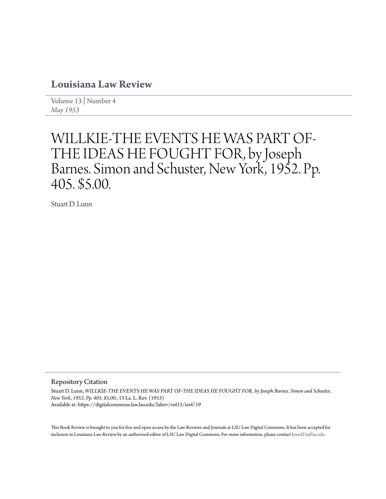## **[Louisiana Law Review](https://digitalcommons.law.lsu.edu/lalrev)**

[Volume 13](https://digitalcommons.law.lsu.edu/lalrev/vol13) | [Number 4](https://digitalcommons.law.lsu.edu/lalrev/vol13/iss4) *[May 1953](https://digitalcommons.law.lsu.edu/lalrev/vol13/iss4)*

# WILLKIE-THE EVENTS HE WAS PART OF-THE IDEAS HE FOUGHT FOR, by Joseph Barnes. Simon and Schuster, New York, 1952. Pp. 405. \$5.00.

Stuart D. Lunn

Repository Citation

Stuart D. Lunn, *WILLKIE-THE EVENTS HE WAS PART OF-THE IDEAS HE FOUGHT FOR, by Joseph Barnes. Simon and Schuster, New York, 1952. Pp. 405. \$5.00.*, 13 La. L. Rev. (1953) Available at: https://digitalcommons.law.lsu.edu/lalrev/vol13/iss4/19

This Book Review is brought to you for free and open access by the Law Reviews and Journals at LSU Law Digital Commons. It has been accepted for inclusion in Louisiana Law Review by an authorized editor of LSU Law Digital Commons. For more information, please contact [kreed25@lsu.edu](mailto:kreed25@lsu.edu).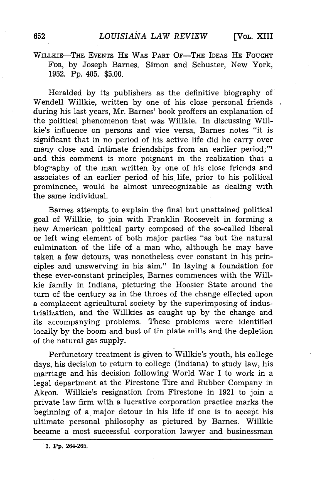### WILLKIE-THE EVENTS HE WAS PART OF-THE IDEAS **HE** FOUGHT FOR, by Joseph Barnes. Simon and Schuster, New York, 1952. Pp. 405. \$5.00.

Heralded by its publishers as the definitive biography of Wendell Willkie, written by one of his close personal friends during his last years, Mr. Barnes' book proffers an explanation of the political phenomenon that was Willkie. In discussing Willkie's influence on persons and vice versa, Barnes notes "it is significant that in no period of his active life did he carry over many close and intimate friendships from an earlier period;"<sup>1</sup> and this comment is more poignant in the realization that a biography of the man written by one of his close friends and associates of an earlier period of his life, prior to his political prominence, would be almost unrecognizable as dealing with the same individual.

Barnes attempts to explain the final but unattained political goal of Willkie, to join with Franklin Roosevelt in forming a new American political party composed of the so-called liberal or left wing element of both major parties "as but the natural culmination of the life of a man who, although he may have taken a few detours, was nonetheless ever constant in his principles and unswerving in his aim." In laying a foundation for these ever-constant principles, Barnes commences with the Willkie family in Indiana, picturing the Hoosier State around the turn of the century as in the throes of the change effected upon a complacent agricultural society by the superimposing of industrialization, and the Willkies as caught up by the change and its accompanying problems. These problems were identified locally by the boom and bust of tin plate mills and the depletion of the natural gas supply.

Perfunctory treatment is given to Willkie's youth, his college days, his decision to return to college (Indiana) to study law, his marriage and his decision following World War I to work in a legal department at the Firestone Tire and Rubber Company in Akron. Willkie's resignation from Firestone in 1921 to join a private law firm with a lucrative corporation practice marks the beginning of a major detour in his life if one is to accept his ultimate personal philosophy as pictured by Barnes. Willkie became a most successful corporation lawyer and businessman

**1. Pp. 264-265.**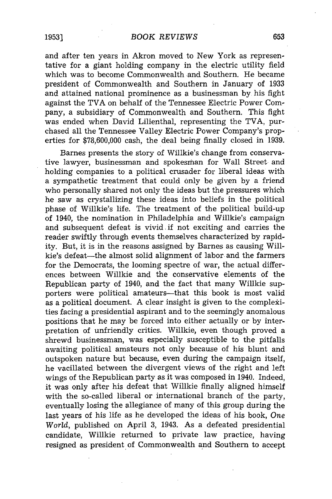and after ten years in Akron moved to New York as representative for a giant holding company in the electric utility field which was to become Commonwealth and Southern. He became president of Commonwealth and Southern in January of 1933 and attained national prominence as a businessman **by** his fight against the TVA on behalf of the Tennessee Electric Power Company, a subsidiary of Commonwealth and Southern. This fight was ended when David Lilienthal, representing the TVA, purchased all the Tennessee Valley Electric Power Company's properties for \$78,600,000 cash, the deal being finally closed in 1939.

Barnes presents the story of Willkie's change from conservative lawyer, businessman and spokesman for Wall Street and holding companies to a political crusader for liberal ideas with a sympathetic treatment that could only be given by a friend who personally shared not only the ideas but the pressures which he saw as crystallizing these ideas into beliefs in the political phase of Willkie's life. The treatment of the political build-up of 1940, the nomination in Philadelphia and Willkie's campaign and subsequent defeat is vivid. if not exciting and carries the reader swiftly through events themselves characterized by rapidity. But, it is in the reasons assigned by Barnes as causing Willkie's defeat-the almost solid alignment of labor and the farmers for the Democrats, the looming spectre of war, the actual differences between Willkie and the conservative elements of the Republican party of 1940, and the fact that many Willkie supporters were political amateurs-that this book is most valid as a political document. A clear insight is given to the complekities facing a presidential aspirant and to the seemingly anomalous positions that he may be forced into either actually or by interpretation of unfriendly critics. Willkie, even though proved a shrewd businessman, was especially susceptible to the pitfalls awaiting political amateurs not only because of his blunt and outspoken nature but because, even during the campaign itself, he vacillated between the divergent views of the right and left wings of the Republican party as it was composed in 1940. Indeed, it was only after his defeat that Willkie finally aligned himself with the so-called liberal or international branch of the party, eventually losing the allegiance of many of this group during the last years of his life as he developed the ideas of his book, *One World,* published on April 3, 1943. As a defeated presidential candidate, Willkie returned to private law practice, having resigned as president of Commonwealth and Southern to accept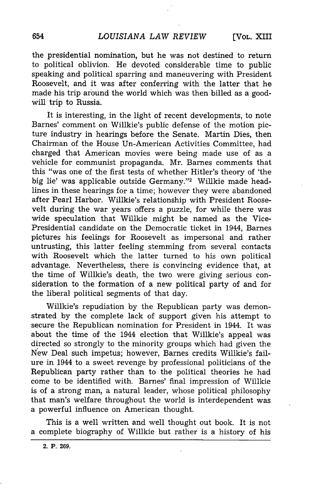the presidential nomination, but he was not destined to return to political oblivion. He devoted considerable time to public speaking and political sparring and maneuvering with President Roosevelt, and it was after conferring with the latter that he made his trip around the world which was then billed as a goodwill trip to Russia.

It is interesting, in the light of recent developments, to note Barnes' comment on Willkie's public defense of the motion picture industry in hearings before the Senate. Martin Dies, then Chairman of the House Un-American Activities Committee, had charged that American movies were being made use of as a vehicle for communist propaganda. Mr. Barnes comments that this "was one of the first tests of whether Hitler's theory of 'the big lie' was applicable outside Germany."<sup>2</sup> Willkie made headlines in these hearings for a time; however they were abandoned after Pearl Harbor. Willkie's relationship with President Roosevelt during the war years offers a puzzle, for while there was wide speculation that Willkie might be named as the Vice-Presidential candidate on the Democratic ticket in 1944, Barnes pictures his feelings for Roosevelt as impersonal and rather untrusting, this latter feeling stemming from several contacts with Roosevelt which the latter turned to his own political advantage. Nevertheless, there is convincing evidence that, at the time of Willkie's death, the two were giving serious consideration to the formation of a new political party of and for the liberal political segments of that day.

Willkie's repudiation by the Republican party was demonstrated by the complete lack of support given his attempt to secure the Republican nomination for President in 1944. It was about the time of the 1944 election that Willkie's appeal was directed so strongly to the minority groups which had given the New Deal such impetus; however, Barnes credits Willkie's failure in 1944 to a sweet revenge by professional politicians of the Republican party rather than to the political theories he had come to be identified with. Barnes' final impression of Willkie is of a strong man, a natural leader, whose political philosophy that man's welfare throughout the world is interdependent was a powerful influence on American thought.

This is a well written and well thought out book. It is not a complete biography of Willkie but rather is a history of his

<sup>654</sup>